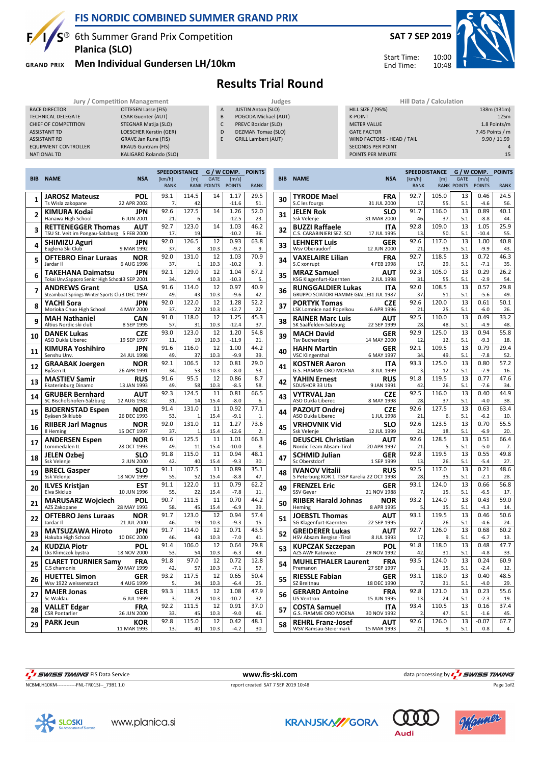

# **FIS NORDIC COMBINED SUMMER GRAND PRIX**

 $S^{\circledast}$  6th Summer Grand Prix Competition **Planica (SLO)**

**GRAND PRIX** 

RACE DIRECTOR

## **Men Individual Gundersen LH/10km**



Start Time: End Time:



|                                      |                     |   | <b>Results Trial Round</b>   |                          |                         |  |  |
|--------------------------------------|---------------------|---|------------------------------|--------------------------|-------------------------|--|--|
| <b>Jury / Competition Management</b> |                     |   | Judges                       |                          | Hill Data / Calculation |  |  |
|                                      | OTTESEN Lasse (FIS) | A | <b>JUSTIN Anton (SLO)</b>    | <b>HILL SIZE / (95%)</b> |                         |  |  |
| <b>ATE</b>                           | CSAR Guenter (ALIT) |   | <b>DOGODA Michael (ALIT)</b> | K-DOINT                  |                         |  |  |

### TECHNICAL DELEGATE CSAR Guenter (AUT)<br>CHIEF OF COMPETITION STEGNAR Matija (SLO) CHIEF OF COMPETITION ASSISTANT TD LOESCHER Kerstin (GER) ASSISTANT RD GRAVE Jan Rune (FIS) EQUIPMENT CONTROLLER KRAUS Guntram (FIS) NATIONAL TD KALIGARO Rolando (SLO)

A JUSTIN Anton (SLO) POGODA Michael (AUT) C PREVC Bozidar (SLO) D DEZMAN Tomaz (SLO)

|  | <b>GRILL Lambert (AUT)</b> |
|--|----------------------------|

| <b>HILL SIZE / (95%)</b>   | 138m (131m)     |
|----------------------------|-----------------|
| <b>K-POINT</b>             | 125m            |
| <b>METER VALUE</b>         | 1.8 Points/m    |
| <b>GATE FACTOR</b>         | 7.45 Points / m |
| WIND FACTORS - HEAD / TAIL | 9.90 / 11.99    |
| <b>SECONDS PER POINT</b>   | 4               |
| POINTS PER MINUTE          | 15              |
|                            |                 |

|            |                                                                                   | <b>SPEEDDISTANCE</b><br>G / W COMP. |             |                                   |                        | <b>POINTS</b> |
|------------|-----------------------------------------------------------------------------------|-------------------------------------|-------------|-----------------------------------|------------------------|---------------|
| <b>BIB</b> | <b>NAME</b><br><b>NSA</b>                                                         | [km/h]<br><b>RANK</b>               | [m]         | <b>GATE</b><br><b>RANK POINTS</b> | [m/s]<br><b>POINTS</b> | <b>RANK</b>   |
|            | <b>JAROSZ Mateusz</b><br>POL                                                      | 93.1                                | 114.5       | 14                                | 1.17                   | 29.5          |
| 1          | Ts Wisla zakopane<br>22 APR 2002                                                  | 7                                   | 42          |                                   | $-11.6$                | 51            |
| 2          | KIMURA Kodai<br>JPN                                                               | 92.6                                | 127.5       | 14                                | 1.26                   | 52.0          |
|            | Hanawa High School<br>6 JUN 2001                                                  | 21                                  | 6           |                                   | $-12.5$                | 23.           |
| 3          | <b>RETTENEGGER Thomas</b><br>AUT<br>5 FEB 2000<br>TSU St. Veit im Pongau-Salzburg | 92.7<br>17                          | 123.0<br>19 | 14                                | 1.03<br>$-10.2$        | 46.2<br>36    |
|            | <b>SHIMIZU Aguri</b><br>JPN                                                       | 92.0                                | 126.5       | 12                                | 0.93                   | 63.8          |
| 4          | Euglena Ski Club<br>9 MAR 1992                                                    | 37                                  | 8           | 10.3                              | $-9.2$                 | 9.            |
| 5          | <b>OFTEBRO Einar Luraas</b><br>NOR<br>Jardar II<br>6 AUG 1998                     | 92.0<br>37                          | 131.0       | 12<br>10.3                        | 1.03<br>$-10.2$        | 70.9<br>3.    |
| 6          | TAKEHANA Daimatsu<br><b>JPN</b><br>Tokai Unv.Sapporo Senior High Schod13 SEP 2001 | 92.1<br>34                          | 129.0<br>4  | 12<br>10.3                        | 1.04<br>$-10.3$        | 67.2<br>5.    |
|            | <b>ANDREWS Grant</b><br>USA                                                       | 91.6                                | 114.0       | 12                                | 0.97                   | 40.9          |
| 7          | Steamboat Springs Winter Sports Clu 3 DEC 1997                                    | 49                                  | 43          | 10.3                              | $-9.6$                 | 42            |
| 8          | YACHI Sora<br>JPN                                                                 | 92.0                                | 122.0       | 12                                | 1.28                   | 52.2          |
|            | Morioka Chuo High School<br>4 MAY 2000                                            | 37<br>91.0                          | 22<br>118.0 | 10.3<br>12                        | $-12.7$<br>1.25        | 22<br>45.3    |
| 9          | <b>CAN</b><br>MAH Nathaniel<br>8 SEP 1995<br>Altius Nordic ski club               | 57                                  | 31          | 10.3                              | $-12.4$                | 37.           |
|            | <b>DANEK Lukas</b><br>CZE                                                         | 93.0                                | 123.0       | 12                                | 1.20                   | 54.8          |
| 10         | 19 SEP 1997<br>ASO Dukla Liberec                                                  | 11                                  | 19          | 10.3                              | $-11.9$                | 21            |
| 11         | KIMURA Yoshihiro<br>JPN                                                           | 91.6                                | 116.0       | 12                                | 1.00                   | 44.2          |
|            | Senshu Unv.<br>24 JUL 1998<br><b>NOR</b>                                          | 49<br>92.1                          | 37<br>106.5 | 10.3<br>12                        | $-9.9$<br>0.81         | 39.<br>29.0   |
| 12         | <b>GRAABAK Joergen</b><br>Byåsen IL<br>26 APR 1991                                | 34                                  | 53          | 10.3                              | $-8.0$                 | 53.           |
| 13         | <b>MASTIEV Samir</b><br><b>RUS</b>                                                | 91.6                                | 95.5        | 12                                | 0.86                   | 8.7           |
|            | 13 JAN 1993<br>Ekaterinburg Dinamo                                                | 49                                  | 58          | 10.3                              | $-8.5$                 | 58            |
| 14         | AUT<br><b>GRUBER Bernhard</b><br>SC Bischofshofen-Salzburg<br>12 AUG 1982         | 92.3<br>31                          | 124.5<br>14 | 11<br>15.4                        | 0.81<br>$-8.0$         | 66.5<br>6.    |
| 15         | <b>BJOERNSTAD Espen</b><br>NOR<br>Byåsen Skiklubb<br>26 DEC 1993                  | 91.4<br>53                          | 131.0<br>1  | 11<br>15.4                        | 0.92<br>$-9.1$         | 77.1<br>1.    |
| 16         | <b>NOR</b><br><b>RIIBER Jarl Magnus</b><br>15 OCT 1997<br>Il Heming               | 92.0<br>37                          | 131.0<br>1  | 11<br>15.4                        | 1.27<br>-12.6          | 73.6<br>2.    |
|            | <b>ANDERSEN Espen</b><br>NOR                                                      | 91.6                                | 125.5       | 11                                | 1.01                   | 66.3          |
| 17         | Lommedalen IL<br>28 OCT 1993                                                      | 49                                  | 11          | 15.4                              | $-10.0$                | 8             |
| 18         | JELEN Ozbei<br>SLO                                                                | 91.8                                | 115.0       | 11                                | 0.94                   | 48.1          |
|            | Ssk Velenje<br>2 JUN 2000<br><b>BRECL Gasper</b><br>SLO                           | 42<br>91.1                          | 40<br>107.5 | 15.4<br>11                        | $-9.3$<br>0.89         | 30.<br>35.1   |
| 19         | 18 NOV 1999<br>Ssk Velenje                                                        | 55                                  | 52          | 15.4                              | $-8.8$                 | 47.           |
| 20         | <b>ILVES Kristjan</b><br>EST                                                      | 91.1                                | 122.0       | 11                                | 0.79                   | 62.2          |
|            | Elva Skiclub<br>10 JUN 1996                                                       | 55<br>90.7                          | 22<br>111.5 | 15.4<br>11                        | $-7.8$<br>0.70         | 11.<br>44.2   |
| 21         | <b>MARUSARZ Wojciech</b><br>POL<br>28 MAY 1993<br>AZS Zakopane                    | 58                                  | 45          | 15.4                              | $-6.9$                 | 39.           |
| 22         | <b>OFTEBRO Jens Luraas</b><br><b>NOR</b>                                          | 91.7                                | 123.0       | 12                                | 0.94                   | 57.4          |
|            | Jardar II<br>21 JUL 2000                                                          | 46<br>91.7                          | 19<br>114.0 | 10.3                              | $-9.3$<br>0.71         | 15<br>43.5    |
| 23         | <b>MATSUZAWA Hiroto</b><br>JPN<br>Hakuba High School<br>10 DEC 2000               | 46                                  | 43          | 12<br>10.3                        | $-7.0$                 | 41.           |
| 24         | KUDZIA Piotr<br>POL<br>18 NOV 2000<br>Lks Klimczok bystra                         | 91.4<br>53                          | 106.0<br>54 | 12<br>10.3                        | 0.64<br>$-6.3$         | 29.8<br>49    |
| 25         | <b>CLARET TOURNIER Samy</b><br>FRA                                                | 91.8                                | 97.0        | 12                                | 0.72                   | 12.8          |
|            | C.S chamonix<br>20 MAY 1999                                                       | 42                                  | 57          | 10.3                              | $-7.1$                 | 57.           |
| 26         | <b>HUETTEL Simon</b><br>GER<br>Wsv 1922 weissenstadt<br>4 AUG 1999                | 93.2<br>5                           | 117.5<br>34 | 12<br>10.3                        | 0.65<br>$-6.4$         | 50.4<br>25    |
| 27         | <b>MAIER Jonas</b><br>GER<br>Sc Waldau<br>6 JUL 1999                              | 93.3<br>3                           | 118.5<br>29 | 12<br>10.3                        | 1.08<br>$-10.7$        | 47.9<br>32.   |
|            | <b>FRA</b><br><b>VALLET Edgar</b>                                                 | 92.2                                | 111.5       | 12                                | 0.91                   | 37.0          |
| 28         | <b>CSR Pontarlier</b><br>26 JUN 2000                                              | 33                                  | 45          | 10.3                              | $-9.0$                 | 46.           |
| 29         | <b>PARK Jeun</b><br>KOR<br>11 MAR 1993                                            | 92.8<br>13                          | 115.0<br>40 | 12<br>10.3                        | 0.42<br>$-4.2$         | 48.1<br>30.   |
|            |                                                                                   |                                     |             |                                   |                        |               |

|            |                                                   |                                                                                                                                                                                                                                                                                                                                                                                                                                                                                                                                                                                                                                                                                                                                                                                                                                                                                                                                                           |                       | SPEEDDISTANCE | G                                 | <u>/ W COMP.</u>       | <b>POINTS</b> |
|------------|---------------------------------------------------|-----------------------------------------------------------------------------------------------------------------------------------------------------------------------------------------------------------------------------------------------------------------------------------------------------------------------------------------------------------------------------------------------------------------------------------------------------------------------------------------------------------------------------------------------------------------------------------------------------------------------------------------------------------------------------------------------------------------------------------------------------------------------------------------------------------------------------------------------------------------------------------------------------------------------------------------------------------|-----------------------|---------------|-----------------------------------|------------------------|---------------|
| <b>BIB</b> | <b>NAME</b>                                       | <b>NSA</b>                                                                                                                                                                                                                                                                                                                                                                                                                                                                                                                                                                                                                                                                                                                                                                                                                                                                                                                                                | [km/h]<br><b>RANK</b> | [m]           | <b>GATE</b><br><b>RANK POINTS</b> | [m/s]<br><b>POINTS</b> | <b>RANK</b>   |
|            |                                                   |                                                                                                                                                                                                                                                                                                                                                                                                                                                                                                                                                                                                                                                                                                                                                                                                                                                                                                                                                           |                       |               |                                   |                        |               |
| 30         | TYRODE Mael<br>S.C les fourgs                     |                                                                                                                                                                                                                                                                                                                                                                                                                                                                                                                                                                                                                                                                                                                                                                                                                                                                                                                                                           |                       |               |                                   | 0.46<br>$-4.6$         | 24.5<br>56.   |
|            | <b>JELEN Rok</b>                                  |                                                                                                                                                                                                                                                                                                                                                                                                                                                                                                                                                                                                                                                                                                                                                                                                                                                                                                                                                           |                       |               |                                   | 0.89                   | 40.1          |
| 31         | Ssk Velenje                                       | 31 MAR 2000                                                                                                                                                                                                                                                                                                                                                                                                                                                                                                                                                                                                                                                                                                                                                                                                                                                                                                                                               | 46                    | 37            | 5.1                               | $-8.8$                 | 44.           |
| 32         | <b>BUZZI Raffaele</b>                             | <b>ITA</b>                                                                                                                                                                                                                                                                                                                                                                                                                                                                                                                                                                                                                                                                                                                                                                                                                                                                                                                                                | 92.8                  | 109.0         | 13                                | 1.05                   | 25.9          |
|            | C.S. CARABINIERI SEZ. SCI                         | 17 JUL 1995                                                                                                                                                                                                                                                                                                                                                                                                                                                                                                                                                                                                                                                                                                                                                                                                                                                                                                                                               | 13                    | 50            | 5.1                               | $-10.4$                | 55.           |
| 33         | <b>LEHNERT Luis</b><br>Wsv Oberaudorf             | GER                                                                                                                                                                                                                                                                                                                                                                                                                                                                                                                                                                                                                                                                                                                                                                                                                                                                                                                                                       |                       |               |                                   | 1.00<br>$-9.9$         | 40.8<br>43.   |
|            | VAXELAIRE Lilian                                  |                                                                                                                                                                                                                                                                                                                                                                                                                                                                                                                                                                                                                                                                                                                                                                                                                                                                                                                                                           |                       |               |                                   | 0.72                   | 46.3          |
| 34         | S.C xonrupt                                       | 4 FEB 1998                                                                                                                                                                                                                                                                                                                                                                                                                                                                                                                                                                                                                                                                                                                                                                                                                                                                                                                                                | 17                    | 29            | 5.1                               | $-7.1$                 | 35.           |
| 35         | <b>MRAZ Samuel</b>                                | AUT                                                                                                                                                                                                                                                                                                                                                                                                                                                                                                                                                                                                                                                                                                                                                                                                                                                                                                                                                       | 92.3                  | 105.0         | 13                                | 0.29                   | 26.2          |
|            | KSG Klagenfurt-Kaernten                           | 2 JUL 1998                                                                                                                                                                                                                                                                                                                                                                                                                                                                                                                                                                                                                                                                                                                                                                                                                                                                                                                                                | 31                    | 55            | 5.1                               | $-2.9$                 | 54.           |
| 36         | RUNGGALDIER Lukas                                 | <b>ITA</b>                                                                                                                                                                                                                                                                                                                                                                                                                                                                                                                                                                                                                                                                                                                                                                                                                                                                                                                                                |                       |               |                                   | 0.57                   | 29.8          |
|            | GRUPPO SCIATORI FIAMME GIALLE31 JUL 1987          | 108.5<br>13<br>92.0<br>37<br>51<br>5.1<br>$-5.6$<br>92.6<br>120.0<br>13<br>0.61<br>CZE<br>6 APR 1996<br>21<br>25<br>5.1<br>92.5<br>110.0<br>13<br>AUT<br>22 SEP 1999<br>28<br>48<br>5.1<br>92.9<br>125.0<br>13<br>GER<br>14 MAY 2000<br>5.1<br>12<br>12<br>92.1<br>109.5<br>13<br>GER<br>6 MAY 1997<br>34<br>49<br>5.1<br>$-7.8$<br>93.3<br>125.0<br>13<br><b>ITA</b><br>8 JUL 1999<br>3<br>12<br>5.1<br>91.8<br>119.5<br>13<br><b>RUS</b><br>9 JAN 1991<br>42<br>26<br>5.1<br>92.5<br>116.0<br>13<br><b>CZE</b><br>8 MAY 1998<br>28<br>37<br>5.1<br>127.5<br>13<br>92.6<br>0.63<br><b>CZE</b><br>1 JUL 1998<br>21<br>6<br>5.1<br>$-6.2$<br>123.5<br>13<br>92.6<br>SLO<br>12 JUL 1999<br>21<br>5.1<br>18<br>92.6<br>128.5<br>13<br>AUT<br>20 APR 1997<br>21<br>5<br>5.1<br>119.5<br>13<br>92.8<br>GER<br>1 SEP 1999<br>5.1<br>$-5.4$<br>13<br>26<br>0.21                                                                                                  |                       | 49.<br>50.1   |                                   |                        |               |
| 37         | <b>PORTYK Tomas</b><br>LSK Lomnice nad Popelkou   |                                                                                                                                                                                                                                                                                                                                                                                                                                                                                                                                                                                                                                                                                                                                                                                                                                                                                                                                                           |                       |               |                                   | $-6.0$                 | 26.           |
|            | <b>RAINER Marc Luis</b>                           |                                                                                                                                                                                                                                                                                                                                                                                                                                                                                                                                                                                                                                                                                                                                                                                                                                                                                                                                                           |                       |               |                                   | 0.49                   | 33.2          |
| 38         | SK Saalfelden-Salzburg                            |                                                                                                                                                                                                                                                                                                                                                                                                                                                                                                                                                                                                                                                                                                                                                                                                                                                                                                                                                           |                       |               |                                   | $-4.9$                 | 48.           |
| 39         | <b>MACH David</b>                                 |                                                                                                                                                                                                                                                                                                                                                                                                                                                                                                                                                                                                                                                                                                                                                                                                                                                                                                                                                           |                       |               |                                   | 0.94                   | 55.8          |
|            | <b>Tsv Buchenberg</b>                             |                                                                                                                                                                                                                                                                                                                                                                                                                                                                                                                                                                                                                                                                                                                                                                                                                                                                                                                                                           |                       |               |                                   | $-9.3$                 | 18.           |
| 40         | <b>HAHN Martin</b>                                |                                                                                                                                                                                                                                                                                                                                                                                                                                                                                                                                                                                                                                                                                                                                                                                                                                                                                                                                                           |                       |               |                                   | 0.79                   | 29.4<br>52.   |
|            | <b>VSC Klingenthal</b><br><b>KOSTNER Aaron</b>    |                                                                                                                                                                                                                                                                                                                                                                                                                                                                                                                                                                                                                                                                                                                                                                                                                                                                                                                                                           |                       |               |                                   | 0.80                   | 57.2          |
| 41         | G.S. FIAMME ORO MOENA                             |                                                                                                                                                                                                                                                                                                                                                                                                                                                                                                                                                                                                                                                                                                                                                                                                                                                                                                                                                           |                       |               |                                   | $-7.9$                 | 16.           |
|            | <b>YAHIN Ernest</b>                               |                                                                                                                                                                                                                                                                                                                                                                                                                                                                                                                                                                                                                                                                                                                                                                                                                                                                                                                                                           |                       |               |                                   | 0.77                   | 47.6          |
| 42         | SDUSHOR 33 Ufa                                    |                                                                                                                                                                                                                                                                                                                                                                                                                                                                                                                                                                                                                                                                                                                                                                                                                                                                                                                                                           |                       |               |                                   | $-7.6$                 | 34.           |
| 43         | <b>VYTRVAL Jan</b>                                |                                                                                                                                                                                                                                                                                                                                                                                                                                                                                                                                                                                                                                                                                                                                                                                                                                                                                                                                                           |                       |               |                                   | 0.40                   | 44.9          |
|            | ASO Dukla Liberec                                 |                                                                                                                                                                                                                                                                                                                                                                                                                                                                                                                                                                                                                                                                                                                                                                                                                                                                                                                                                           |                       |               |                                   | $-4.0$                 | 38.           |
| 44         | PAZOUT Ondrei<br>ASO Dukla Liberec                |                                                                                                                                                                                                                                                                                                                                                                                                                                                                                                                                                                                                                                                                                                                                                                                                                                                                                                                                                           |                       |               |                                   |                        | 63.4<br>10.   |
|            | <b>VRHOVNIK Vid</b>                               |                                                                                                                                                                                                                                                                                                                                                                                                                                                                                                                                                                                                                                                                                                                                                                                                                                                                                                                                                           |                       |               |                                   | 0.70                   | 55.5          |
| 45         | Ssk Velenje                                       |                                                                                                                                                                                                                                                                                                                                                                                                                                                                                                                                                                                                                                                                                                                                                                                                                                                                                                                                                           |                       |               |                                   | $-6.9$                 | 20.           |
| 46         | <b>DEUSCHL Christian</b>                          |                                                                                                                                                                                                                                                                                                                                                                                                                                                                                                                                                                                                                                                                                                                                                                                                                                                                                                                                                           |                       |               |                                   | 0.51                   | 66.4          |
|            | Nordic Team Absam-Tirol                           |                                                                                                                                                                                                                                                                                                                                                                                                                                                                                                                                                                                                                                                                                                                                                                                                                                                                                                                                                           |                       |               |                                   | $-5.0$                 | 7.            |
| 47         | <b>SCHMID Julian</b>                              |                                                                                                                                                                                                                                                                                                                                                                                                                                                                                                                                                                                                                                                                                                                                                                                                                                                                                                                                                           |                       |               |                                   | 0.55                   | 49.8          |
|            | Sc Oberstdorf<br><b>IVANOV Vitalii</b>            |                                                                                                                                                                                                                                                                                                                                                                                                                                                                                                                                                                                                                                                                                                                                                                                                                                                                                                                                                           |                       |               |                                   |                        | 27.<br>48.6   |
| 48         | S Peterburg KOR 1 TSSP Karelia 22 OCT 1998        |                                                                                                                                                                                                                                                                                                                                                                                                                                                                                                                                                                                                                                                                                                                                                                                                                                                                                                                                                           |                       |               |                                   | $-2.1$                 | 28.           |
| 49         | <b>FRENZEL Eric</b>                               | 92.7<br>105.0<br>13<br>FRA<br>31 JUL 2000<br>17<br>55<br>5.1<br>13<br>91.7<br>116.0<br><b>SLO</b><br>92.6<br>117.0<br>13<br>12 JUN 2000<br>21<br>5.1<br>35<br>92.7<br>118.5<br>13<br><b>FRA</b><br>92.5<br>13<br>117.0<br><b>RUS</b><br>35<br>5.1<br>28<br>93.1<br>124.0<br>13<br>GER<br>21 NOV 1988<br>7<br>15<br>5.1<br>93.2<br>13<br>124.0<br>NOR<br>8 APR 1995<br>5<br>15<br>5.1<br>93.1<br>119.5<br>13<br>AUT<br>22 SEP 1995<br>5.1<br>7<br>26<br>92.7<br>126.0<br>13<br>AUT<br>8 JUL 1993<br>17<br>9<br>5.1<br>13<br>91.8<br>118.0<br>POL<br>29 NOV 1992<br>42<br>31<br>5.1<br>93.5<br>124.0<br>13<br><b>FRA</b><br>27 SEP 1997<br>15<br>5.1<br>1<br>93.1<br>118.0<br>13<br>GER<br>18 DEC 1990<br>7<br>31<br>5.1<br>121.0<br>13<br><b>FRA</b><br>92.8<br>15 JUN 1995<br>13<br>24<br>5.1<br>93.4<br>110.5<br>13<br>ITA<br>30 NOV 1992<br>$\overline{\phantom{0}}$<br>47<br>5.1<br>92.6<br>126.0<br>13<br><b>AUT</b><br>15 MAR 1993<br>21<br>9<br>5.1 | 0.66                  | 56.8          |                                   |                        |               |
|            | SSV Geyer                                         |                                                                                                                                                                                                                                                                                                                                                                                                                                                                                                                                                                                                                                                                                                                                                                                                                                                                                                                                                           |                       |               |                                   | $-6.5$                 | 17.           |
| 50         | <b>RIIBER Harald Johnas</b>                       |                                                                                                                                                                                                                                                                                                                                                                                                                                                                                                                                                                                                                                                                                                                                                                                                                                                                                                                                                           |                       |               |                                   | 0.43                   | 59.0          |
|            | Heming                                            |                                                                                                                                                                                                                                                                                                                                                                                                                                                                                                                                                                                                                                                                                                                                                                                                                                                                                                                                                           |                       |               |                                   | $-4.3$                 | 14.           |
| 51         | <b>JOEBSTL Thomas</b><br>SG Klagenfurt-Kaernten   |                                                                                                                                                                                                                                                                                                                                                                                                                                                                                                                                                                                                                                                                                                                                                                                                                                                                                                                                                           |                       |               |                                   | 0.46<br>$-4.6$         | 50.6<br>24.   |
|            | <b>GREIDERER Lukas</b>                            |                                                                                                                                                                                                                                                                                                                                                                                                                                                                                                                                                                                                                                                                                                                                                                                                                                                                                                                                                           |                       |               |                                   | 0.68                   | 60.2          |
| 52         | HSV Absam Bergisel-Tirol                          |                                                                                                                                                                                                                                                                                                                                                                                                                                                                                                                                                                                                                                                                                                                                                                                                                                                                                                                                                           |                       |               |                                   | $-6.7$                 | 13.           |
| 53         | <b>KUPCZAK Szczepan</b>                           |                                                                                                                                                                                                                                                                                                                                                                                                                                                                                                                                                                                                                                                                                                                                                                                                                                                                                                                                                           |                       |               |                                   | 0.48                   | 47.7          |
|            | AZS AWF Katowice                                  |                                                                                                                                                                                                                                                                                                                                                                                                                                                                                                                                                                                                                                                                                                                                                                                                                                                                                                                                                           |                       |               |                                   | $-4.8$                 | 33.           |
| 54         | <b>MUHLETHALER Laurent</b><br>Premanon            |                                                                                                                                                                                                                                                                                                                                                                                                                                                                                                                                                                                                                                                                                                                                                                                                                                                                                                                                                           |                       |               |                                   | 0.24<br>$-2.4$         | 60.9<br>12.   |
|            | RIESSLE Fabian                                    |                                                                                                                                                                                                                                                                                                                                                                                                                                                                                                                                                                                                                                                                                                                                                                                                                                                                                                                                                           |                       |               |                                   | 0.40                   | 48.5          |
| 55         | SZ Breitnau                                       |                                                                                                                                                                                                                                                                                                                                                                                                                                                                                                                                                                                                                                                                                                                                                                                                                                                                                                                                                           |                       |               |                                   | $-4.0$                 | 29.           |
| 56         | <b>GERARD Antoine</b>                             |                                                                                                                                                                                                                                                                                                                                                                                                                                                                                                                                                                                                                                                                                                                                                                                                                                                                                                                                                           |                       |               |                                   | 0.23                   | 55.6          |
|            | <b>US Ventron</b>                                 |                                                                                                                                                                                                                                                                                                                                                                                                                                                                                                                                                                                                                                                                                                                                                                                                                                                                                                                                                           |                       |               |                                   | $-2.3$                 | 19.           |
| 57         | COSTA Samuel                                      |                                                                                                                                                                                                                                                                                                                                                                                                                                                                                                                                                                                                                                                                                                                                                                                                                                                                                                                                                           |                       |               |                                   | 0.16                   | 37.4          |
|            | G.S. FIAMME ORO MOENA                             |                                                                                                                                                                                                                                                                                                                                                                                                                                                                                                                                                                                                                                                                                                                                                                                                                                                                                                                                                           |                       |               |                                   | $-1.6$<br>$-0.07$      | 45.<br>67.7   |
| 58         | <b>REHRL Franz-Josef</b><br>WSV Ramsau-Steiermark |                                                                                                                                                                                                                                                                                                                                                                                                                                                                                                                                                                                                                                                                                                                                                                                                                                                                                                                                                           |                       |               |                                   | 0.8                    | 4.            |
|            |                                                   |                                                                                                                                                                                                                                                                                                                                                                                                                                                                                                                                                                                                                                                                                                                                                                                                                                                                                                                                                           |                       |               |                                   |                        |               |

THE SUNSES TIMING FIS Data Service **the Contract of Contract Automatic Service** www.fis-ski.com data processing by  $\frac{1}{2}$  SWISS TIMING

NCBMLH10KM-------------FNL-TR01SJ--\_73B1 1.0 report created SAT 7 SEP 2019 10:48







**KRANJSKA//GORA**